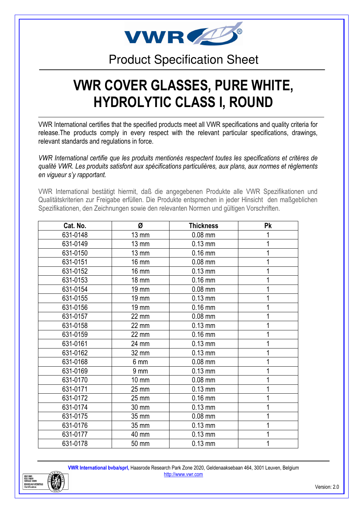

### Product Specification Sheet

## VWR COVER GLASSES, PURE WHITE, HYDROLYTIC CLASS I, ROUND

VWR International certifies that the specified products meet all VWR specifications and quality criteria for release.The products comply in every respect with the relevant particular specifications, drawings, relevant standards and regulations in force.

VWR International certifie que les produits mentionés respectent toutes les specifications et critères de qualité VWR. Les produits satisfont aux spécifications particulières, aux plans, aux normes et règlements en vigueur s'y rapportant.

VWR International bestätigt hiermit, daß die angegebenen Produkte alle VWR Spezifikationen und Qualitätskriterien zur Freigabe erfüllen. Die Produkte entsprechen in jeder Hinsicht den maßgeblichen Spezifikationen, den Zeichnungen sowie den relevanten Normen und gültigen Vorschriften.

| Cat. No. | Ø               | <b>Thickness</b> | <b>Pk</b> |
|----------|-----------------|------------------|-----------|
| 631-0148 | <b>13 mm</b>    | $0.08$ mm        |           |
| 631-0149 | $13 \text{ mm}$ | $0.13$ mm        |           |
| 631-0150 | $13 \text{ mm}$ | $0.16$ mm        | 1         |
| 631-0151 | <b>16 mm</b>    | $0.08$ mm        |           |
| 631-0152 | 16 mm           | $0.13$ mm        | 1         |
| 631-0153 | 18 mm           | $0.16$ mm        |           |
| 631-0154 | 19 mm           | $0.08$ mm        |           |
| 631-0155 | 19 mm           | $0.13$ mm        |           |
| 631-0156 | 19 mm           | $0.16$ mm        |           |
| 631-0157 | 22 mm           | $0.08$ mm        |           |
| 631-0158 | 22 mm           | $0.13$ mm        |           |
| 631-0159 | 22 mm           | $0.16$ mm        |           |
| 631-0161 | 24 mm           | $0.13$ mm        | 1         |
| 631-0162 | 32 mm           | $0.13$ mm        | 1         |
| 631-0168 | 6 mm            | $0.08$ mm        | 1         |
| 631-0169 | 9 <sub>mm</sub> | $0.13$ mm        |           |
| 631-0170 | $10 \text{ mm}$ | $0.08$ mm        |           |
| 631-0171 | 25 mm           | $0.13$ mm        | 1         |
| 631-0172 | 25 mm           | $0.16$ mm        |           |
| 631-0174 | 30 mm           | $0.13$ mm        | 1         |
| 631-0175 | 35 mm           | $0.08$ mm        |           |
| 631-0176 | 35 mm           | $0.13$ mm        | 1         |
| 631-0177 | 40 mm           | $0.13$ mm        |           |
| 631-0178 | 50 mm           | $0.13$ mm        |           |

VWR International bvba/sprl, Haasrode Research Park Zone 2020, Geldenaaksebaan 464, 3001 Leuven, Belgium http://www.vwr.com

ISO 9001<br>ISO 14001<br>GHSAS 18 **BUREAU VI**